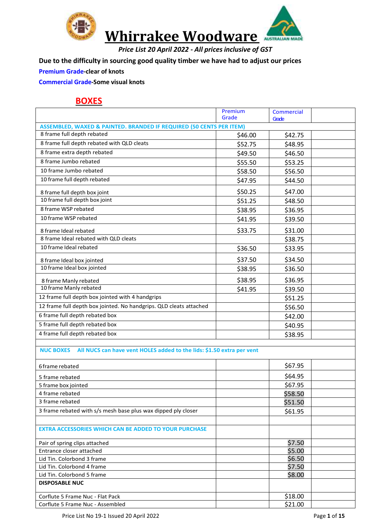

*Price List 20 April 2022 - All prices inclusive of GST*

**Due to the difficulty in sourcing good quality timber we have had to adjust our prices**

#### **Premium Grade-clear of knots**

**Commercial Grade-Some visual knots**

#### **BOXES**

|                                                                                           | Premium | Commercial |  |
|-------------------------------------------------------------------------------------------|---------|------------|--|
|                                                                                           | Grade   | Grade      |  |
| <b>ASSEMBLED, WAXED &amp; PAINTED. BRANDED IF REQUIRED (50 CENTS PER ITEM)</b>            |         |            |  |
| 8 frame full depth rebated                                                                | \$46.00 | \$42.75    |  |
| 8 frame full depth rebated with QLD cleats                                                | \$52.75 | \$48.95    |  |
| 8 frame extra depth rebated                                                               | \$49.50 | \$46.50    |  |
| 8 frame Jumbo rebated                                                                     | \$55.50 | \$53.25    |  |
| 10 frame Jumbo rebated                                                                    | \$58.50 | \$56.50    |  |
| 10 frame full depth rebated                                                               | \$47.95 | \$44.50    |  |
| 8 frame full depth box joint                                                              | \$50.25 | \$47.00    |  |
| 10 frame full depth box joint                                                             | \$51.25 | \$48.50    |  |
| 8 frame WSP rebated                                                                       | \$38.95 | \$36.95    |  |
| 10 frame WSP rebated                                                                      | \$41.95 | \$39.50    |  |
| 8 frame Ideal rebated                                                                     | \$33.75 | \$31.00    |  |
| 8 frame Ideal rebated with QLD cleats                                                     |         | \$38.75    |  |
| 10 frame Ideal rebated                                                                    | \$36.50 | \$33.95    |  |
|                                                                                           |         |            |  |
| 8 frame Ideal box jointed                                                                 | \$37.50 | \$34.50    |  |
| 10 frame Ideal box jointed                                                                | \$38.95 | \$36.50    |  |
| 8 frame Manly rebated                                                                     | \$38.95 | \$36.95    |  |
| 10 frame Manly rebated                                                                    | \$41.95 | \$39.50    |  |
| 12 frame full depth box jointed with 4 handgrips                                          |         | \$51.25    |  |
| 12 frame full depth box jointed. No handgrips. QLD cleats attached                        |         | \$56.50    |  |
| 6 frame full depth rebated box                                                            |         | \$42.00    |  |
| 5 frame full depth rebated box                                                            |         | \$40.95    |  |
| 4 frame full depth rebated box                                                            |         | \$38.95    |  |
|                                                                                           |         |            |  |
| All NUCS can have vent HOLES added to the lids: \$1.50 extra per vent<br><b>NUC BOXES</b> |         |            |  |
| 6 frame rebated                                                                           |         | \$67.95    |  |
|                                                                                           |         |            |  |
| 5 frame rebated                                                                           |         | \$64.95    |  |
| 5 frame box jointed                                                                       |         | \$67.95    |  |
| 4 frame rebated                                                                           |         | \$58.50    |  |
| 3 frame rebated                                                                           |         | \$51.50    |  |
| 3 frame rebated with s/s mesh base plus wax dipped ply closer                             |         | \$61.95    |  |
| <b>EXTRA ACCESSORIES WHICH CAN BE ADDED TO YOUR PURCHASE</b>                              |         |            |  |
| Pair of spring clips attached                                                             |         | \$7.50     |  |
| Entrance closer attached                                                                  |         | \$5.00     |  |
| Lid Tin. Colorbond 3 frame                                                                |         | \$6.50     |  |
| Lid Tin. Colorbond 4 frame                                                                |         | \$7.50     |  |
| Lid Tin. Colorbond 5 frame                                                                |         | \$8.00     |  |
| <b>DISPOSABLE NUC</b>                                                                     |         |            |  |
| Corflute 5 Frame Nuc - Flat Pack                                                          |         | \$18.00    |  |
| Corflute 5 Frame Nuc - Assembled                                                          |         | \$21.00    |  |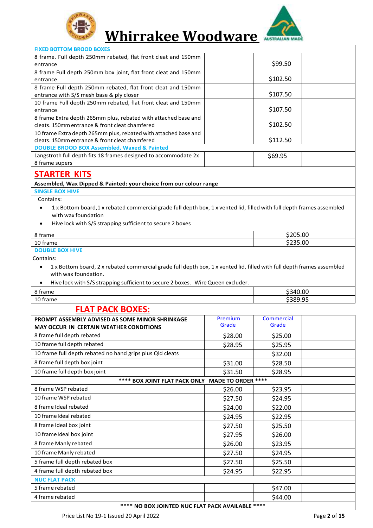



#### **FIXED BOTTOM BROOD BOXES** 8 frame. Full depth 250mm rebated, flat front cleat and 150mm entrance \$99.50 8 frame Full depth 250mm box joint, flat front cleat and 150mm entrance \$102.50 8 frame Full depth 250mm rebated, flat front cleat and 150mm entrance with S/S mesh base & ply closer  $\vert$  \$107.50 10 frame Full depth 250mm rebated, flat front cleat and 150mm entrance \$107.50 8 frame Extra depth 265mm plus, rebated with attached base and cleats. 150mm entrance & front cleat chamfered \$102.50 10 frame Extra depth 265mm plus, rebated with attached base and cleats. 150mm entrance & front cleat chamfered  $\vert$  \$112.50 **DOUBLE BROOD BOX Assembled, Waxed & Painted** Langstroth full depth fits 18 frames designed to accommodate 2x 8 frame supers \$69.95 **STARTER KITS Assembled, Wax Dipped & Painted: your choice from our colour range SINGLE BOX HIVE** Contains: • 1 x Bottom board,1 x rebated commercial grade full depth box, 1 x vented lid, filled with full depth frames assembled with wax foundation

• Hive lock with S/S strapping sufficient to secure 2 boxes

| 8 frame                | \$205.00 |
|------------------------|----------|
| 10 frame               | \$235.00 |
| <b>DOUBLE BOX HIVE</b> |          |
|                        |          |

Contains:

- 1 x Bottom board, 2 x rebated commercial grade full depth box, 1 x vented lid, filled with full depth frames assembled with wax foundation.
- Hive lock with S/S strapping sufficient to secure 2 boxes. WireQueen excluder.

| ີ        |                    |
|----------|--------------------|
| 8 frame  | \$340.00           |
| 10 frame | choo or<br>5389.95 |

#### **FLAT PACK BOXES:**

| PROMPT ASSEMBLY ADVISED AS SOME MINOR SHRINKAGE           | Premium | <b>Commercial</b> |  |  |  |
|-----------------------------------------------------------|---------|-------------------|--|--|--|
| <b>MAY OCCUR IN CERTAIN WEATHER CONDITIONS</b>            | Grade   | Grade             |  |  |  |
| 8 frame full depth rebated                                | \$28.00 | \$25.00           |  |  |  |
| 10 frame full depth rebated                               | \$28.95 | \$25.95           |  |  |  |
| 10 frame full depth rebated no hand grips plus Qld cleats |         | \$32.00           |  |  |  |
| 8 frame full depth box joint                              | \$31.00 | \$28.50           |  |  |  |
| 10 frame full depth box joint                             | \$31.50 | \$28.95           |  |  |  |
| **** BOX JOINT FLAT PACK ONLY MADE TO ORDER ****          |         |                   |  |  |  |
| 8 frame WSP rebated                                       | \$26.00 | \$23.95           |  |  |  |
| 10 frame WSP rebated                                      | \$27.50 | \$24.95           |  |  |  |
| 8 frame Ideal rebated                                     | \$24.00 | \$22.00           |  |  |  |
| 10 frame Ideal rebated                                    | \$24.95 | \$22.95           |  |  |  |
| 8 frame Ideal box joint                                   | \$27.50 | \$25.50           |  |  |  |
| 10 frame Ideal box joint                                  | \$27.95 | \$26.00           |  |  |  |
| 8 frame Manly rebated                                     | \$26.00 | \$23.95           |  |  |  |
| 10 frame Manly rebated                                    | \$27.50 | \$24.95           |  |  |  |
| 5 frame full depth rebated box                            | \$27.50 | \$25.50           |  |  |  |
| 4 frame full depth rebated box                            | \$24.95 | \$22.95           |  |  |  |
| <b>NUC FLAT PACK</b>                                      |         |                   |  |  |  |
| 5 frame rebated                                           |         | \$47.00           |  |  |  |
| 4 frame rebated                                           |         | \$44.00           |  |  |  |
| <b>**** NO ROY IOINTED NUC ELAT DACK AVAILARLE ****</b>   |         |                   |  |  |  |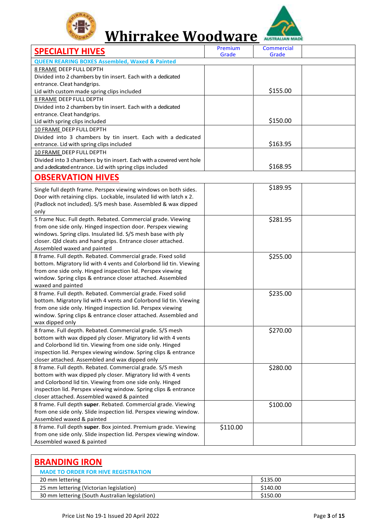



| <b>SPECIALITY HIVES</b>                                                                                                      | Premium<br>Grade | Commercial<br>Grade |  |
|------------------------------------------------------------------------------------------------------------------------------|------------------|---------------------|--|
| <b>QUEEN REARING BOXES Assembled, Waxed &amp; Painted</b>                                                                    |                  |                     |  |
| <b>8 FRAME DEEP FULL DEPTH</b>                                                                                               |                  |                     |  |
| Divided into 2 chambers by tin insert. Each with a dedicated                                                                 |                  |                     |  |
| entrance. Cleat handgrips.                                                                                                   |                  |                     |  |
| Lid with custom made spring clips included                                                                                   |                  | \$155.00            |  |
| <b>8 FRAME DEEP FULL DEPTH</b>                                                                                               |                  |                     |  |
| Divided into 2 chambers by tin insert. Each with a dedicated                                                                 |                  |                     |  |
| entrance. Cleat handgrips.                                                                                                   |                  |                     |  |
| Lid with spring clips included                                                                                               |                  | \$150.00            |  |
| 10 FRAME DEEP FULL DEPTH                                                                                                     |                  |                     |  |
| Divided into 3 chambers by tin insert. Each with a dedicated                                                                 |                  |                     |  |
| entrance. Lid with spring clips included                                                                                     |                  | \$163.95            |  |
| 10 FRAME DEEP FULL DEPTH                                                                                                     |                  |                     |  |
| Divided into 3 chambers by tin insert. Each with a covered vent hole                                                         |                  |                     |  |
| and a dedicated entrance. Lid with spring clips included                                                                     |                  | \$168.95            |  |
| <b>OBSERVATION HIVES</b>                                                                                                     |                  |                     |  |
|                                                                                                                              |                  |                     |  |
| Single full depth frame. Perspex viewing windows on both sides.                                                              |                  | \$189.95            |  |
| Door with retaining clips. Lockable, insulated lid with latch x 2.                                                           |                  |                     |  |
| (Padlock not included). S/S mesh base. Assembled & wax dipped                                                                |                  |                     |  |
| only                                                                                                                         |                  |                     |  |
| 5 frame Nuc. Full depth. Rebated. Commercial grade. Viewing                                                                  |                  | \$281.95            |  |
| from one side only. Hinged inspection door. Perspex viewing                                                                  |                  |                     |  |
| windows. Spring clips. Insulated lid. S/S mesh base with ply                                                                 |                  |                     |  |
| closer. Qld cleats and hand grips. Entrance closer attached.                                                                 |                  |                     |  |
| Assembled waxed and painted                                                                                                  |                  |                     |  |
| 8 frame. Full depth. Rebated. Commercial grade. Fixed solid                                                                  |                  | \$255.00            |  |
| bottom. Migratory lid with 4 vents and Colorbond lid tin. Viewing                                                            |                  |                     |  |
| from one side only. Hinged inspection lid. Perspex viewing                                                                   |                  |                     |  |
| window. Spring clips & entrance closer attached. Assembled                                                                   |                  |                     |  |
| waxed and painted                                                                                                            |                  |                     |  |
| 8 frame. Full depth. Rebated. Commercial grade. Fixed solid                                                                  |                  | \$235.00            |  |
| bottom. Migratory lid with 4 vents and Colorbond lid tin. Viewing                                                            |                  |                     |  |
| from one side only. Hinged inspection lid. Perspex viewing                                                                   |                  |                     |  |
| window. Spring clips & entrance closer attached. Assembled and                                                               |                  |                     |  |
| wax dipped only                                                                                                              |                  |                     |  |
| 8 frame. Full depth. Rebated. Commercial grade. S/S mesh                                                                     |                  | \$270.00            |  |
| bottom with wax dipped ply closer. Migratory lid with 4 vents                                                                |                  |                     |  |
| and Colorbond lid tin. Viewing from one side only. Hinged<br>inspection lid. Perspex viewing window. Spring clips & entrance |                  |                     |  |
| closer attached. Assembled and wax dipped only                                                                               |                  |                     |  |
| 8 frame. Full depth. Rebated. Commercial grade. S/S mesh                                                                     |                  |                     |  |
| bottom with wax dipped ply closer. Migratory lid with 4 vents                                                                |                  | \$280.00            |  |
| and Colorbond lid tin. Viewing from one side only. Hinged                                                                    |                  |                     |  |
| inspection lid. Perspex viewing window. Spring clips & entrance                                                              |                  |                     |  |
| closer attached. Assembled waxed & painted                                                                                   |                  |                     |  |
| 8 frame. Full depth super. Rebated. Commercial grade. Viewing                                                                |                  | \$100.00            |  |
| from one side only. Slide inspection lid. Perspex viewing window.                                                            |                  |                     |  |
| Assembled waxed & painted                                                                                                    |                  |                     |  |
| 8 frame. Full depth super. Box jointed. Premium grade. Viewing                                                               | \$110.00         |                     |  |
| from one side only. Slide inspection lid. Perspex viewing window.                                                            |                  |                     |  |
| Assembled waxed & painted                                                                                                    |                  |                     |  |

| <b>BRANDING IRON</b><br><b>MADE TO ORDER FOR HIVE REGISTRATION</b> |          |
|--------------------------------------------------------------------|----------|
| 20 mm lettering                                                    | \$135.00 |
| 25 mm lettering (Victorian legislation)                            | \$140.00 |
| 30 mm lettering (South Australian legislation)                     | \$150.00 |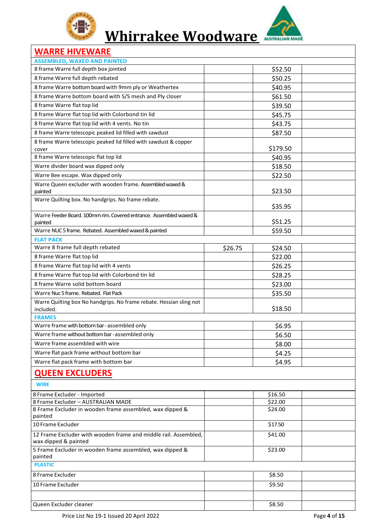



### **WARRE HIVEWARE**

| <b>ASSEMBLED, WAXED AND PAINTED</b>                                              |         |          |  |
|----------------------------------------------------------------------------------|---------|----------|--|
| 8 frame Warre full depth box jointed                                             |         | \$52.50  |  |
| 8 frame Warre full depth rebated                                                 |         | \$50.25  |  |
| 8 frame Warre bottom board with 9mm ply or Weathertex                            |         | \$40.95  |  |
| 8 frame Warre bottom board with S/S mesh and Ply closer                          |         | \$61.50  |  |
| 8 frame Warre flat top lid                                                       |         | \$39.50  |  |
| 8 frame Warre flat top lid with Colorbond tin lid                                |         |          |  |
|                                                                                  |         | \$45.75  |  |
| 8 frame Warre flat top lid with 4 vents. No tin                                  |         | \$43.75  |  |
| 8 frame Warre telescopic peaked lid filled with sawdust                          |         | \$87.50  |  |
| 8 frame Warre telescopic peaked lid filled with sawdust & copper<br>cover        |         | \$179.50 |  |
| 8 frame Warre telescopic flat top lid                                            |         | \$40.95  |  |
| Warre divider board wax dipped only                                              |         | \$18.50  |  |
| Warre Bee escape. Wax dipped only                                                |         | \$22.50  |  |
| Warre Queen excluder with wooden frame. Assembled waxed &                        |         |          |  |
| painted                                                                          |         | \$23.50  |  |
| Warre Quilting box. No handgrips. No frame rebate.                               |         |          |  |
|                                                                                  |         | \$35.95  |  |
| Warre Feeder Board, 100mm rim, Covered entrance. Assembled waxed &               |         |          |  |
| painted                                                                          |         | \$51.25  |  |
| Warre NUC5 frame. Rebated. Assembled waxed & painted                             |         | \$59.50  |  |
| <b>FLAT PACK</b>                                                                 |         |          |  |
| Warre 8 frame full depth rebated                                                 | \$26.75 | \$24.50  |  |
| 8 frame Warre flat top lid                                                       |         | \$22.00  |  |
| 8 frame Warre flat top lid with 4 vents                                          |         | \$26.25  |  |
| 8 frame Warre flat top lid with Colorbond tin lid                                |         | \$28.25  |  |
| 8 frame Warre solid bottom board                                                 |         | \$23.00  |  |
| Warre Nuc 5 frame. Rebated. Flat Pack                                            |         | \$35.50  |  |
| Warre Quilting box No handgrips. No frame rebate. Hessian sling not<br>included. |         | \$18.50  |  |
| <b>FRAMES</b>                                                                    |         |          |  |
| Warre frame with bottom bar-assembled only                                       |         | \$6.95   |  |
| Warre frame without bottom bar-assembled only                                    |         | \$6.50   |  |
| Warre frame assembled with wire                                                  |         | \$8.00   |  |
| Warre flat pack frame without bottom bar                                         |         | \$4.25   |  |
| Warre flat pack frame with bottom bar                                            |         | \$4.95   |  |
| <b>QUEEN EXCLUDERS</b>                                                           |         |          |  |
| <b>WIRE</b>                                                                      |         |          |  |
| 8 Frame Excluder - Imported                                                      |         | \$16.50  |  |
| 8 Frame Excluder - AUSTRALIAN MADE                                               |         | \$22.00  |  |
| 8 Frame Excluder in wooden frame assembled, wax dipped &<br>painted              |         | \$24.00  |  |
| 10 Frame Excluder                                                                |         | \$17.50  |  |
| 12 Frame Excluder with wooden frame and middle rail. Assembled,                  |         | \$41.00  |  |
| wax dipped & painted                                                             |         |          |  |
| 5 Frame Excluder in wooden frame assembled, wax dipped &<br>painted              |         | \$23.00  |  |
| <b>PLASTIC</b>                                                                   |         |          |  |
| 8 Frame Excluder                                                                 |         | \$8.50   |  |
| 10 Frame Excluder                                                                |         | \$9.50   |  |
|                                                                                  |         |          |  |
| Queen Excluder cleaner                                                           |         | \$8.50   |  |
|                                                                                  |         |          |  |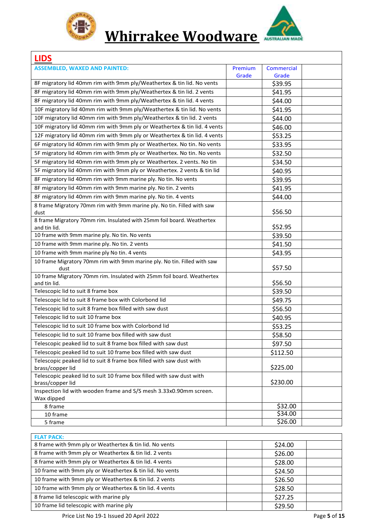



### **LIDS**

| LIDS                                                                                    |         |                    |  |
|-----------------------------------------------------------------------------------------|---------|--------------------|--|
| <b>ASSEMBLED, WAXED AND PAINTED:</b>                                                    | Premium | Commercial         |  |
|                                                                                         | Grade   | Grade              |  |
| 8F migratory lid 40mm rim with 9mm ply/Weathertex & tin lid. No vents                   |         | \$39.95            |  |
| 8F migratory lid 40mm rim with 9mm ply/Weathertex & tin lid. 2 vents                    |         | \$41.95            |  |
| 8F migratory lid 40mm rim with 9mm ply/Weathertex & tin lid. 4 vents                    |         | \$44.00            |  |
| 10F migratory lid 40mm rim with 9mm ply/Weathertex & tin lid. No vents                  |         | \$41.95            |  |
| 10F migratory lid 40mm rim with 9mm ply/Weathertex & tin lid. 2 vents                   |         | \$44.00            |  |
| 10F migratory lid 40mm rim with 9mm ply or Weathertex & tin lid. 4 vents                |         | \$46.00            |  |
| 12F migratory lid 40mm rim with 9mm ply or Weathertex & tin lid. 4 vents                |         | \$53.25            |  |
| 6F migratory lid 40mm rim with 9mm ply or Weathertex. No tin. No vents                  |         | \$33.95            |  |
| 5F migratory lid 40mm rim with 9mm ply or Weathertex. No tin. No vents                  |         | \$32.50            |  |
| 5F migratory lid 40mm rim with 9mm ply or Weathertex. 2 vents. No tin                   |         | \$34.50            |  |
| 5F migratory lid 40mm rim with 9mm ply or Weathertex. 2 vents & tin lid                 |         | \$40.95            |  |
| 8F migratory lid 40mm rim with 9mm marine ply. No tin. No vents                         |         | \$39.95            |  |
| 8F migratory lid 40mm rim with 9mm marine ply. No tin. 2 vents                          |         | \$41.95            |  |
| 8F migratory lid 40mm rim with 9mm marine ply. No tin. 4 vents                          |         | \$44.00            |  |
| 8 frame Migratory 70mm rim with 9mm marine ply. No tin. Filled with saw                 |         |                    |  |
| dust                                                                                    |         | \$56.50            |  |
| 8 frame Migratory 70mm rim. Insulated with 25mm foil board. Weathertex                  |         |                    |  |
| and tin lid.                                                                            |         | \$52.95            |  |
| 10 frame with 9mm marine ply. No tin. No vents                                          |         | \$39.50            |  |
| 10 frame with 9mm marine ply. No tin. 2 vents                                           |         | \$41.50            |  |
| 10 frame with 9mm marine ply No tin. 4 vents                                            |         | \$43.95            |  |
| 10 frame Migratory 70mm rim with 9mm marine ply. No tin. Filled with saw                |         |                    |  |
| dust                                                                                    |         | \$57.50            |  |
| 10 frame Migratory 70mm rim. Insulated with 25mm foil board. Weathertex<br>and tin lid. |         | \$56.50            |  |
| Telescopic lid to suit 8 frame box                                                      |         | \$39.50            |  |
| Telescopic lid to suit 8 frame box with Colorbond lid                                   |         | \$49.75            |  |
| Telescopic lid to suit 8 frame box filled with saw dust                                 |         | \$56.50            |  |
| Telescopic lid to suit 10 frame box                                                     |         | \$40.95            |  |
| Telescopic lid to suit 10 frame box with Colorbond lid                                  |         |                    |  |
| Telescopic lid to suit 10 frame box filled with saw dust                                |         | \$53.25<br>\$58.50 |  |
| Telescopic peaked lid to suit 8 frame box filled with saw dust                          |         |                    |  |
|                                                                                         |         | \$97.50            |  |
| Telescopic peaked lid to suit 10 frame box filled with saw dust                         |         | \$112.50           |  |
| Telescopic peaked lid to suit 8 frame box filled with saw dust with<br>brass/copper lid |         | \$225.00           |  |
| Telescopic peaked lid to suit 10 frame box filled with saw dust with                    |         |                    |  |
| brass/copper lid                                                                        |         | \$230.00           |  |
| Inspection lid with wooden frame and S/S mesh 3.33x0.90mm screen.                       |         |                    |  |
| Wax dipped                                                                              |         |                    |  |
| 8 frame                                                                                 |         | \$32.00            |  |
| 10 frame                                                                                |         | \$34.00            |  |
| 5 frame                                                                                 |         | \$26.00            |  |

| <b>FLAT PACK:</b>                                       |         |  |
|---------------------------------------------------------|---------|--|
| 8 frame with 9mm ply or Weathertex & tin lid. No vents  | \$24.00 |  |
| 8 frame with 9mm ply or Weathertex & tin lid. 2 vents   | \$26.00 |  |
| 8 frame with 9mm ply or Weathertex & tin lid. 4 vents   | \$28.00 |  |
| 10 frame with 9mm ply or Weathertex & tin lid. No vents | \$24.50 |  |
| 10 frame with 9mm ply or Weathertex & tin lid. 2 vents  | \$26.50 |  |
| 10 frame with 9mm ply or Weathertex & tin lid. 4 vents  | \$28.50 |  |
| 8 frame lid telescopic with marine ply                  | \$27.25 |  |
| 10 frame lid telescopic with marine ply                 | \$29.50 |  |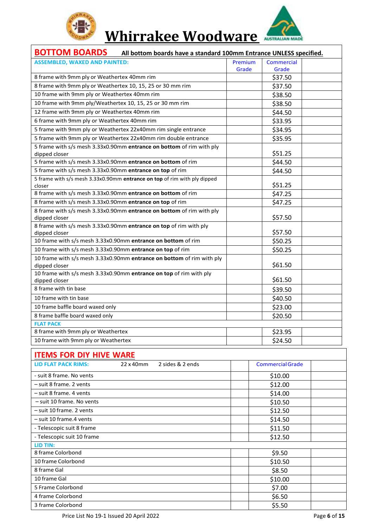



| <b>BOTTOM BOARDS</b> All bottom boards have a standard 100mm Entrance UNLESS specified. |                |                         |  |  |
|-----------------------------------------------------------------------------------------|----------------|-------------------------|--|--|
| <b>ASSEMBLED, WAXED AND PAINTED:</b>                                                    | <b>Premium</b> | <b>Commercial</b>       |  |  |
|                                                                                         | Grade          | Grade                   |  |  |
| 8 frame with 9mm ply or Weathertex 40mm rim                                             |                | \$37.50                 |  |  |
| 8 frame with 9mm ply or Weathertex 10, 15, 25 or 30 mm rim                              |                | \$37.50                 |  |  |
| 10 frame with 9mm ply or Weathertex 40mm rim                                            |                | \$38.50                 |  |  |
| 10 frame with 9mm ply/Weathertex 10, 15, 25 or 30 mm rim                                |                | \$38.50                 |  |  |
| 12 frame with 9mm ply or Weathertex 40mm rim                                            |                | \$44.50                 |  |  |
| 6 frame with 9mm ply or Weathertex 40mm rim                                             |                | \$33.95                 |  |  |
| 5 frame with 9mm ply or Weathertex 22x40mm rim single entrance                          |                | \$34.95                 |  |  |
| 5 frame with 9mm ply or Weathertex 22x40mm rim double entrance                          |                | \$35.95                 |  |  |
| 5 frame with s/s mesh 3.33x0.90mm entrance on bottom of rim with ply                    |                |                         |  |  |
| dipped closer                                                                           |                | \$51.25                 |  |  |
| 5 frame with s/s mesh 3.33x0.90mm entrance on bottom of rim                             |                | \$44.50                 |  |  |
| 5 frame with s/s mesh 3.33x0.90mm entrance on top of rim                                |                | \$44.50                 |  |  |
| 5 frame with s/s mesh 3.33x0.90mm entrance on top of rim with ply dipped                |                |                         |  |  |
| closer                                                                                  |                | \$51.25                 |  |  |
| 8 frame with s/s mesh 3.33x0.90mm entrance on bottom of rim                             |                | \$47.25                 |  |  |
| 8 frame with s/s mesh 3.33x0.90mm entrance on top of rim                                |                | \$47.25                 |  |  |
| 8 frame with s/s mesh 3.33x0.90mm entrance on bottom of rim with ply                    |                |                         |  |  |
| dipped closer                                                                           |                | \$57.50                 |  |  |
| 8 frame with s/s mesh 3.33x0.90mm entrance on top of rim with ply<br>dipped closer      |                | \$57.50                 |  |  |
| 10 frame with s/s mesh 3.33x0.90mm entrance on bottom of rim                            |                | \$50.25                 |  |  |
| 10 frame with s/s mesh 3.33x0.90mm entrance on top of rim                               |                | \$50.25                 |  |  |
| 10 frame with s/s mesh 3.33x0.90mm entrance on bottom of rim with ply                   |                |                         |  |  |
| dipped closer                                                                           |                | \$61.50                 |  |  |
| 10 frame with s/s mesh 3.33x0.90mm entrance on top of rim with ply                      |                |                         |  |  |
| dipped closer                                                                           |                | \$61.50                 |  |  |
| 8 frame with tin base                                                                   |                | \$39.50                 |  |  |
| 10 frame with tin base                                                                  |                | \$40.50                 |  |  |
| 10 frame baffle board waxed only                                                        |                | \$23.00                 |  |  |
| 8 frame baffle board waxed only                                                         |                | \$20.50                 |  |  |
| <b>FLAT PACK</b>                                                                        |                |                         |  |  |
| 8 frame with 9mm ply or Weathertex                                                      |                | \$23.95                 |  |  |
| 10 frame with 9mm ply or Weathertex                                                     |                | \$24.50                 |  |  |
|                                                                                         |                |                         |  |  |
| <b>ITEMS FOR DIY HIVE WARE</b>                                                          |                |                         |  |  |
| <b>LID FLAT PACK RIMS:</b><br>22 x 40mm<br>2 sides & 2 ends                             |                | <b>Commercial Grade</b> |  |  |

| <b>ILLIVIS LON DIL HIVE WANE</b> |                                         |                  |                         |              |
|----------------------------------|-----------------------------------------|------------------|-------------------------|--------------|
| LID FLAT PACK RIMS:              | 22 x 40mm                               | 2 sides & 2 ends | <b>Commercial Grade</b> |              |
| - suit 8 frame. No vents         |                                         |                  | \$10.00                 |              |
| - suit 8 frame. 2 vents          |                                         |                  | \$12.00                 |              |
| - suit 8 frame. 4 vents          |                                         |                  | \$14.00                 |              |
| - suit 10 frame. No vents        |                                         |                  | \$10.50                 |              |
| - suit 10 frame. 2 vents         |                                         |                  | \$12.50                 |              |
| - suit 10 frame.4 vents          |                                         |                  | \$14.50                 |              |
| - Telescopic suit 8 frame        |                                         |                  | \$11.50                 |              |
| - Telescopic suit 10 frame       |                                         |                  | \$12.50                 |              |
| LID TIN:                         |                                         |                  |                         |              |
| 8 frame Colorbond                |                                         |                  | \$9.50                  |              |
| 10 frame Colorbond               |                                         |                  | \$10.50                 |              |
| 8 frame Gal                      |                                         |                  | \$8.50                  |              |
| 10 frame Gal                     |                                         |                  | \$10.00                 |              |
| 5 Frame Colorbond                |                                         |                  | \$7.00                  |              |
| 4 frame Colorbond                |                                         |                  | \$6.50                  |              |
| 3 frame Colorbond                |                                         |                  | \$5.50                  |              |
|                                  | Price List No 19-1 Issued 20 April 2022 |                  |                         | Page 6 of 15 |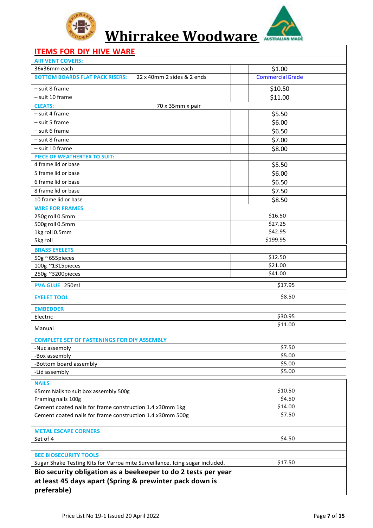



### **ITEMS FOR DIY HIVE WARE**

| <b>AIR VENT COVERS:</b>                                                      |                         |  |
|------------------------------------------------------------------------------|-------------------------|--|
| 36x36mm each                                                                 | \$1.00                  |  |
| <b>BOTTOM BOARDS FLAT PACK RISERS:</b><br>22 x 40mm 2 sides & 2 ends         | <b>Commercial Grade</b> |  |
| - suit 8 frame                                                               | \$10.50                 |  |
| - suit 10 frame                                                              | \$11.00                 |  |
| <b>CLEATS:</b><br>70 x 35mm x pair                                           |                         |  |
| - suit 4 frame                                                               | \$5.50                  |  |
| - suit 5 frame                                                               | \$6.00                  |  |
| - suit 6 frame                                                               | \$6.50                  |  |
| - suit 8 frame                                                               | \$7.00                  |  |
| - suit 10 frame                                                              | \$8.00                  |  |
| PIECE OF WEATHERTEX TO SUIT:                                                 |                         |  |
| 4 frame lid or base                                                          | \$5.50                  |  |
| 5 frame lid or base                                                          | \$6.00                  |  |
| 6 frame lid or base                                                          | \$6.50                  |  |
| 8 frame lid or base                                                          | \$7.50                  |  |
| 10 frame lid or base                                                         | \$8.50                  |  |
| <b>WIRE FOR FRAMES</b>                                                       |                         |  |
| 250g roll 0.5mm                                                              | \$16.50                 |  |
| 500g roll 0.5mm                                                              | \$27.25                 |  |
| 1kg roll 0.5mm                                                               | \$42.95                 |  |
| 5kg roll                                                                     | \$199.95                |  |
| <b>BRASS EYELETS</b>                                                         |                         |  |
| 50g ~655pieces                                                               | \$12.50                 |  |
| 100g ~1315pieces                                                             | \$21.00                 |  |
| 250g ~3200pieces                                                             | \$41.00                 |  |
| PVA GLUE 250ml                                                               | \$17.95                 |  |
| <b>EYELET TOOL</b>                                                           | \$8.50                  |  |
| <b>EMBEDDER</b>                                                              |                         |  |
| Electric                                                                     | \$30.95                 |  |
| Manual                                                                       | \$11.00                 |  |
| <b>COMPLETE SET OF FASTENINGS FOR DIY ASSEMBLY</b>                           |                         |  |
| -Nuc assembly                                                                | \$7.50                  |  |
| -Box assembly                                                                | \$5.00                  |  |
| -Bottom board assembly                                                       | \$5.00                  |  |
| -Lid assembly                                                                | \$5.00                  |  |
| <b>NAILS</b>                                                                 |                         |  |
| 65mm Nails to suit box assembly 500g                                         | \$10.50                 |  |
| Framing nails 100g                                                           | \$4.50                  |  |
| Cement coated nails for frame construction 1.4 x30mm 1kg                     | \$14.00                 |  |
| Cement coated nails for frame construction 1.4 x30mm 500g                    | \$7.50                  |  |
|                                                                              |                         |  |
| <b>METAL ESCAPE CORNERS</b>                                                  |                         |  |
| Set of 4                                                                     | \$4.50                  |  |
|                                                                              |                         |  |
| <b>BEE BIOSECURITY TOOLS</b>                                                 |                         |  |
| Sugar Shake Testing Kits for Varroa mite Surveillance. Icing sugar included. | \$17.50                 |  |
| Bio security obligation as a beekeeper to do 2 tests per year                |                         |  |
| at least 45 days apart (Spring & prewinter pack down is                      |                         |  |
| preferable)                                                                  |                         |  |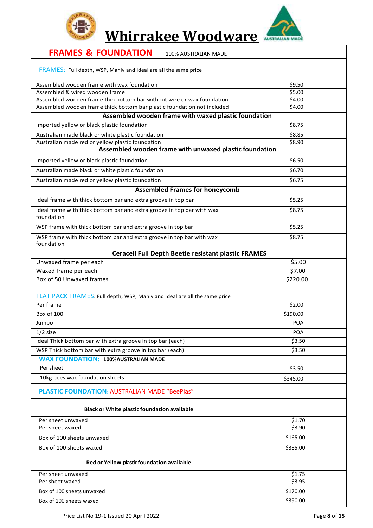



| <b>FRAMES &amp; FOUNDATION</b><br>100% AUSTRALIAN MADE                                                     |            |
|------------------------------------------------------------------------------------------------------------|------------|
| FRAMES: Full depth, WSP, Manly and Ideal are all the same price                                            |            |
| Assembled wooden frame with wax foundation                                                                 | \$9.50     |
| Assembled & wired wooden frame                                                                             | \$5.00     |
| Assembled wooden frame thin bottom bar without wire or wax foundation                                      | \$4.00     |
| Assembled wooden frame thick bottom bar plastic foundation not included                                    | \$4.00     |
| Assembled wooden frame with waxed plastic foundation                                                       |            |
| Imported yellow or black plastic foundation                                                                | \$8.75     |
| Australian made black or white plastic foundation                                                          | \$8.85     |
| Australian made red or yellow plastic foundation<br>Assembled wooden frame with unwaxed plastic foundation | \$8.90     |
|                                                                                                            |            |
| Imported yellow or black plastic foundation                                                                | \$6.50     |
| Australian made black or white plastic foundation                                                          | \$6.70     |
| Australian made red or yellow plastic foundation                                                           | \$6.75     |
| <b>Assembled Frames for honeycomb</b>                                                                      |            |
| Ideal frame with thick bottom bar and extra groove in top bar                                              | \$5.25     |
| Ideal frame with thick bottom bar and extra groove in top bar with wax<br>foundation                       | \$8.75     |
| WSP frame with thick bottom bar and extra groove in top bar                                                | \$5.25     |
| WSP frame with thick bottom bar and extra groove in top bar with wax                                       | \$8.75     |
| foundation                                                                                                 |            |
| <b>Ceracell Full Depth Beetle resistant plastic FRAMES</b>                                                 |            |
| Unwaxed frame per each                                                                                     | \$5.00     |
| Waxed frame per each                                                                                       | \$7.00     |
| Box of 50 Unwaxed frames                                                                                   | \$220.00   |
| FLAT PACK FRAMES: Full depth, WSP, Manly and Ideal are all the same price                                  |            |
| Per frame                                                                                                  | \$2.00     |
| Box of 100                                                                                                 | \$190.00   |
| Jumbo                                                                                                      | POA        |
| $1/2$ size                                                                                                 | <b>POA</b> |
| Ideal Thick bottom bar with extra groove in top bar (each)                                                 | \$3.50     |
| WSP Thick bottom bar with extra groove in top bar (each)                                                   | \$3.50     |
| <b>WAX FOUNDATION: 100%AUSTRALIAN MADE</b>                                                                 |            |
| Per sheet                                                                                                  | \$3.50     |
| 10kg bees wax foundation sheets                                                                            | \$345.00   |
| <b>PLASTIC FOUNDATION: AUSTRALIAN MADE "BeePlas"</b>                                                       |            |
| <b>Black or White plastic foundation available</b>                                                         |            |
| Per sheet unwaxed                                                                                          | \$1.70     |
| Per sheet waxed                                                                                            | \$3.90     |
| Box of 100 sheets unwaxed                                                                                  | \$165.00   |
| Box of 100 sheets waxed                                                                                    | \$385.00   |
| Red or Yellow plastic foundation available                                                                 |            |
| Per sheet unwaxed                                                                                          | \$1.75     |
| Per sheet waxed                                                                                            | \$3.95     |
| Box of 100 sheets unwaxed                                                                                  | \$170.00   |
| Box of 100 sheets waxed                                                                                    | \$390.00   |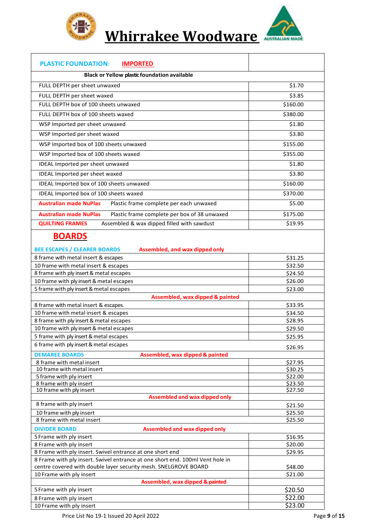

**Whirrakee Woodware**



| <b>PLASTIC FOUNDATION:</b><br><b>IMPORTED</b>                                         |                    |
|---------------------------------------------------------------------------------------|--------------------|
| Black or Yellow plastic foundation available                                          |                    |
| FULL DEPTH per sheet unwaxed                                                          | \$1.70             |
| FULL DEPTH per sheet waxed                                                            | \$3.85             |
| FULL DEPTH box of 100 sheets unwaxed                                                  | \$160.00           |
| FULL DEPTH box of 100 sheets waxed                                                    | \$380.00           |
| WSP Imported per sheet unwaxed                                                        | \$1.80             |
| WSP Imported per sheet waxed                                                          | \$3.80             |
| WSP Imported box of 100 sheets unwaxed                                                | \$155.00           |
|                                                                                       |                    |
| WSP Imported box of 100 sheets waxed                                                  | \$355.00           |
| IDEAL Imported per sheet unwaxed                                                      | \$1.80             |
| IDEAL Imported per sheet waxed                                                        | \$3.80             |
| IDEAL Imported box of 100 sheets unwaxed                                              | \$160.00           |
| IDEAL Imported box of 100 sheets waxed                                                | \$370.00           |
| <b>Australian made NuPlas</b><br>Plastic frame complete per each unwaxed              | \$5.00             |
| <b>Australian made NuPlas</b><br>Plastic frame complete per box of 38 unwaxed         | \$175.00           |
| <b>QUILTING FRAMES</b><br>Assembled & wax dipped filled with sawdust                  | \$19.95            |
| <b>BOARDS</b>                                                                         |                    |
| <b>BEE ESCAPES / CLEARER BOARDS</b><br>Assembled, and wax dipped only                 |                    |
| 8 frame with metal insert & escapes                                                   | \$31.25            |
| 10 frame with metal insert & escapes                                                  | \$32.50            |
| 8 frame with ply insert & metal escapes                                               | \$24.50            |
| 10 frame with ply insert & metal escapes<br>5 frame with ply insert & metal escapes   | \$26.00<br>\$23.00 |
| Assembled, wax dipped & painted                                                       |                    |
| 8 frame with metal insert & escapes.                                                  | \$33.95            |
| 10 frame with metal insert & escapes                                                  | \$34.50            |
| 8 frame with ply insert & metal escapes                                               | \$28.95            |
| 10 frame with ply insert & metal escapes                                              | \$29.50            |
| 5 frame with ply insert & metal escapes<br>6 frame with ply insert & metal escapes    | \$25.95            |
|                                                                                       | \$26.95            |
| <b>DEMAREE BOARDS</b><br>Assembled, wax dipped & painted<br>8 frame with metal insert | \$27.95            |
| 10 frame with metal insert                                                            | \$30.25            |
| 5 frame with ply insert                                                               | \$22.00            |
| 8 frame with ply insert                                                               | \$23.50            |
| 10 frame with ply insert<br><b>Assembled and wax dipped only</b>                      | \$27.50            |
| 8 frame with ply insert                                                               | \$21.50            |
| 10 frame with ply insert                                                              | \$25.50            |
| 8 frame with metal insert                                                             | \$25.50            |
| <b>DIVIDER BOARD</b><br><b>Assembled and wax dipped only</b>                          |                    |
| 5 Frame with ply insert                                                               | \$16.95            |
| 8 Frame with ply insert<br>8 Frame with ply insert. Swivel entrance at one short end  | \$20.00<br>\$29.95 |
| 8 Frame with ply insert. Swivel entrance at one short end. 100ml Vent hole in         |                    |
| centre covered with double layer security mesh. SNELGROVE BOARD                       | \$48.00            |
| 10 Frame with ply insert                                                              | \$21.00            |
| Assembled, wax dipped & painted                                                       |                    |
| 5 Frame with ply insert                                                               | \$20.50<br>\$22.00 |
| 8 Frame with ply insert<br>10 Frame with ply insert                                   | \$23.00            |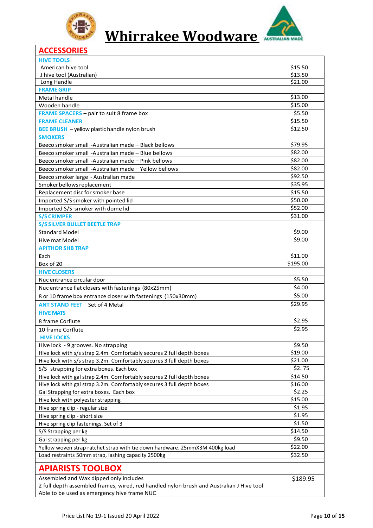



#### **ACCESSORIES**

| <b>HIVE TOOLS</b>                                                                        |          |
|------------------------------------------------------------------------------------------|----------|
| American hive tool                                                                       | \$15.50  |
| J hive tool (Australian)                                                                 | \$13.50  |
| Long Handle                                                                              | \$21.00  |
| <b>FRAME GRIP</b>                                                                        |          |
| Metal handle                                                                             | \$13.00  |
| Wooden handle                                                                            | \$15.00  |
| <b>FRAME SPACERS</b> - pair to suit 8 frame box                                          | \$5.50   |
| <b>FRAME CLEANER</b>                                                                     | \$15.50  |
| <b>BEE BRUSH</b> - yellow plastic handle nylon brush                                     | \$12.50  |
| <b>SMOKERS</b>                                                                           |          |
| Beeco smoker small -Australian made - Black bellows                                      | \$79.95  |
| Beeco smoker small -Australian made – Blue bellows                                       | \$82.00  |
| Beeco smoker small -Australian made – Pink bellows                                       | \$82.00  |
| Beeco smoker small -Australian made - Yellow bellows                                     | \$82.00  |
| Beeco smoker large - Australian made                                                     | \$92.50  |
| Smoker bellows replacement                                                               | \$35.95  |
| Replacement disc for smoker base                                                         | \$15.50  |
| Imported S/S smoker with pointed lid                                                     | \$50.00  |
| Imported S/S smoker with dome lid                                                        | \$52.00  |
| <b>S/S CRIMPER</b>                                                                       | \$31.00  |
| <b>S/S SILVER BULLET BEETLE TRAP</b>                                                     |          |
| <b>Standard Model</b>                                                                    | \$9.00   |
| Hive mat Model                                                                           | \$9.00   |
| <b>APITHOR SHB TRAP</b>                                                                  |          |
| Each                                                                                     | \$11.00  |
| Box of 20                                                                                | \$195.00 |
| <b>HIVE CLOSERS</b>                                                                      |          |
| Nuc entrance circular door                                                               | \$5.50   |
| Nuc entrance flat closers with fastenings (80x25mm)                                      | \$4.00   |
| 8 or 10 frame box entrance closer with fastenings (150x30mm)                             | \$5.00   |
| <b>ANT STAND FEET</b> Set of 4 Metal                                                     | \$29.95  |
| <b>HIVE MATS</b>                                                                         |          |
| 8 frame Corflute                                                                         | \$2.95   |
| 10 frame Corflute                                                                        | \$2.95   |
| <b>HIVE LOCKS</b>                                                                        |          |
| Hive lock - 9 grooves. No strapping                                                      | \$9.50   |
| Hive lock with s/s strap 2.4m. Comfortably secures 2 full depth boxes                    | \$19.00  |
| Hive lock with s/s strap 3.2m. Comfortably secures 3 full depth boxes                    | \$21.00  |
| S/S strapping for extra boxes. Each box                                                  | \$2.75   |
|                                                                                          | \$14.50  |
| Hive lock with gal strap 2.4m. Comfortably secures 2 full depth boxes                    | \$16.00  |
| Hive lock with gal strap 3.2m. Comfortably secures 3 full depth boxes                    | \$2.25   |
| Gal Strapping for extra boxes. Each box<br>Hive lock with polyester strapping            | \$15.00  |
|                                                                                          | \$1.95   |
| Hive spring clip - regular size                                                          | \$1.95   |
| Hive spring clip - short size                                                            | \$1.50   |
| Hive spring clip fastenings. Set of 3                                                    |          |
| S/S Strapping per kg                                                                     | \$14.50  |
| Gal strapping per kg                                                                     | \$9.50   |
| Yellow woven strap ratchet strap with tie down hardware. 25mmX3M 400kg load              | \$22.00  |
| Load restraints 50mm strap, lashing capacity 2500kg                                      | \$32.50  |
| <b>APIARISTS TOOLBOX</b>                                                                 |          |
| Assembled and Wax dipped only includes                                                   | \$189.95 |
| 2 full depth assembled frames, wired, red handled nylon brush and Australian J Hive tool |          |
| Able to be used as emergency hive frame NUC                                              |          |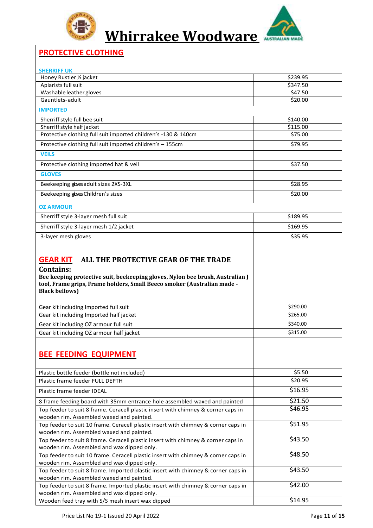



### **PROTECTIVE CLOTHING**

| <b>SHERRIFF UK</b>                                                                                                                                                          |                      |
|-----------------------------------------------------------------------------------------------------------------------------------------------------------------------------|----------------------|
|                                                                                                                                                                             |                      |
| Honey Rustler 1/2 jacket<br>Apiarists full suit                                                                                                                             | \$239.95<br>\$347.50 |
| Washable leather gloves                                                                                                                                                     | \$47.50              |
| Gauntlets-adult                                                                                                                                                             | \$20.00              |
| <b>IMPORTED</b>                                                                                                                                                             |                      |
| Sherriff style full bee suit                                                                                                                                                | \$140.00             |
| Sherriff style half jacket                                                                                                                                                  | \$115.00             |
| Protective clothing full suit imported children's -130 & 140cm                                                                                                              | \$75.00              |
| Protective clothing full suit imported children's - 155cm                                                                                                                   | \$79.95              |
| <b>VEILS</b>                                                                                                                                                                |                      |
| Protective clothing imported hat & veil                                                                                                                                     | \$37.50              |
| <b>GLOVES</b>                                                                                                                                                               |                      |
| Beekeeping goves adult sizes 2XS-3XL                                                                                                                                        | \$28.95              |
| Beekeeping goves Children's sizes                                                                                                                                           | \$20.00              |
| <b>OZ ARMOUR</b>                                                                                                                                                            |                      |
| Sherriff style 3-layer mesh full suit                                                                                                                                       | \$189.95             |
| Sherriff style 3-layer mesh 1/2 jacket                                                                                                                                      | \$169.95             |
| 3-layer mesh gloves                                                                                                                                                         | \$35.95              |
|                                                                                                                                                                             |                      |
| Bee keeping protective suit, beekeeping gloves, Nylon bee brush, Australian J<br>tool, Frame grips, Frame holders, Small Beeco smoker (Australian made -                    |                      |
| <b>Black bellows</b> )                                                                                                                                                      |                      |
| Gear kit including Imported full suit                                                                                                                                       | \$290.00             |
| Gear kit including Imported half jacket                                                                                                                                     | \$265.00             |
| Gear kit including OZ armour full suit                                                                                                                                      | \$340.00             |
| Gear kit including OZ armour half jacket                                                                                                                                    | \$315.00             |
| <b>BEE FEEDING EQUIPMENT</b>                                                                                                                                                |                      |
| Plastic bottle feeder (bottle not included)                                                                                                                                 | \$5.50               |
| Plastic frame feeder FULL DEPTH                                                                                                                                             | \$20.95              |
| Plastic frame feeder IDEAL                                                                                                                                                  | \$16.95              |
| 8 frame feeding board with 35mm entrance hole assembled waxed and painted                                                                                                   | \$21.50              |
| Top feeder to suit 8 frame. Ceracell plastic insert with chimney & corner caps in                                                                                           | \$46.95              |
| wooden rim. Assembled waxed and painted.                                                                                                                                    |                      |
| Top feeder to suit 10 frame. Ceracell plastic insert with chimney & corner caps in<br>wooden rim. Assembled waxed and painted.                                              | \$51.95              |
| Top feeder to suit 8 frame. Ceracell plastic insert with chimney & corner caps in<br>wooden rim. Assembled and wax dipped only.                                             | \$43.50              |
| Top feeder to suit 10 frame. Ceracell plastic insert with chimney & corner caps in                                                                                          | \$48.50              |
| wooden rim. Assembled and wax dipped only.<br>Top feeder to suit 8 frame. Imported plastic insert with chimney & corner caps in                                             | \$43.50              |
| wooden rim. Assembled waxed and painted.<br>Top feeder to suit 8 frame. Imported plastic insert with chimney & corner caps in<br>wooden rim. Assembled and wax dipped only. | \$42.00              |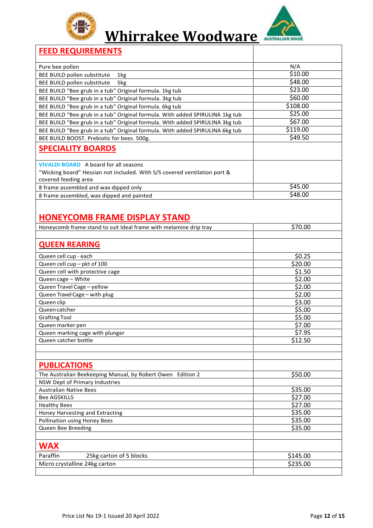



#### **FEED REQUIREMENTS**

| N/A      |
|----------|
| \$10.00  |
| \$48.00  |
| \$23.00  |
| \$60.00  |
| \$108.00 |
| \$25.00  |
| \$67.00  |
| \$119.00 |
| \$49.50  |
|          |
|          |
|          |
|          |
| \$45.00  |
| \$48.00  |
|          |

### **HONEYCOMB FRAME DISPLAY STAND**

| Honeycomb frame stand to suit Ideal frame with melamine drip tray | \$70.00           |
|-------------------------------------------------------------------|-------------------|
|                                                                   |                   |
| <b>QUEEN REARING</b>                                              |                   |
| Queen cell cup - each                                             | \$0.25            |
| Queen cell cup - pkt of 100                                       | \$20.00           |
| Queen cell with protective cage                                   | \$1.50            |
| Queen cage - White                                                | \$2.00            |
| Queen Travel Cage - yellow                                        | \$2.00            |
| Queen Travel Cage - with plug                                     | \$2.00            |
| Queen clip                                                        | $\frac{1}{53.00}$ |
| Oueen catcher                                                     | \$5.00            |
| <b>Grafting Tool</b>                                              | \$5.00            |
| Queen marker pen                                                  | \$7.00            |
| Queen marking cage with plunger                                   | \$7.95            |
| Queen catcher bottle                                              | \$12.50           |
|                                                                   |                   |
|                                                                   |                   |
| <b>PUBLICATIONS</b>                                               |                   |
| The Australian Beekeeping Manual, by Robert Owen Edition 2        | \$50.00           |
| NSW Dept of Primary Industries                                    |                   |
| <b>Australian Native Bees</b>                                     | \$35.00           |
| <b>Bee AGSKILLS</b>                                               | \$27.00           |
| <b>Healthy Bees</b>                                               | \$27.00           |
| Honey Harvesting and Extracting                                   | \$35.00           |
| <b>Pollination using Honey Bees</b>                               | \$35.00           |
| Queen Bee Breeding                                                | \$35.00           |
|                                                                   |                   |
| <b>WAX</b>                                                        |                   |
| Paraffin<br>25kg carton of 5 blocks                               | \$145.00          |
| Micro crystalline 24kg carton                                     | \$235.00          |
|                                                                   |                   |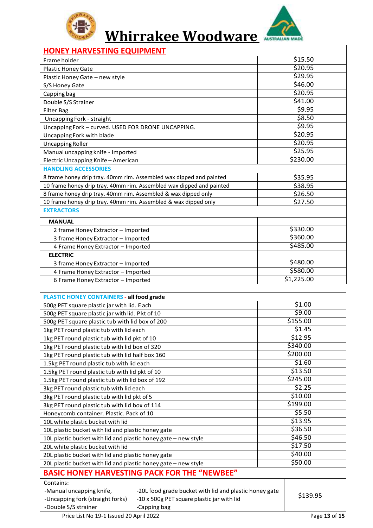



#### **HONEY HARVESTING EQUIPMENT**

| Frame holder                                                    |                                                                      | \$15.50    |
|-----------------------------------------------------------------|----------------------------------------------------------------------|------------|
| Plastic Honey Gate                                              |                                                                      | \$20.95    |
| Plastic Honey Gate - new style                                  |                                                                      | \$29.95    |
| S/S Honey Gate                                                  |                                                                      | \$46.00    |
| Capping bag                                                     |                                                                      | \$20.95    |
| Double S/S Strainer                                             |                                                                      | \$41.00    |
| <b>Filter Bag</b>                                               |                                                                      | \$9.95     |
| Uncapping Fork - straight                                       |                                                                      | \$8.50     |
| Uncapping Fork - curved. USED FOR DRONE UNCAPPING.              |                                                                      | \$9.95     |
| Uncapping Fork with blade                                       |                                                                      | \$20.95    |
| <b>Uncapping Roller</b>                                         |                                                                      | \$20.95    |
| Manual uncapping knife - Imported                               |                                                                      | \$25.95    |
| Electric Uncapping Knife - American                             |                                                                      | \$230.00   |
| <b>HANDLING ACCESSORIES</b>                                     |                                                                      |            |
|                                                                 | 8 frame honey drip tray. 40mm rim. Assembled wax dipped and painted  | \$35.95    |
|                                                                 | 10 frame honey drip tray. 40mm rim. Assembled wax dipped and painted | \$38.95    |
| 8 frame honey drip tray. 40mm rim. Assembled & wax dipped only  |                                                                      | \$26.50    |
| 10 frame honey drip tray. 40mm rim. Assembled & wax dipped only |                                                                      | \$27.50    |
| <b>EXTRACTORS</b>                                               |                                                                      |            |
| <b>MANUAL</b>                                                   |                                                                      |            |
| 2 frame Honey Extractor - Imported                              |                                                                      | \$330.00   |
| 3 frame Honey Extractor - Imported                              |                                                                      | \$360.00   |
| 4 Frame Honey Extractor - Imported                              |                                                                      | \$485.00   |
| <b>ELECTRIC</b>                                                 |                                                                      |            |
| 3 frame Honey Extractor - Imported                              |                                                                      | \$480.00   |
| 4 Frame Honey Extractor - Imported                              |                                                                      | \$580.00   |
|                                                                 |                                                                      |            |
| 6 Frame Honey Extractor - Imported                              |                                                                      | \$1,225.00 |
|                                                                 |                                                                      |            |
| PLASTIC HONEY CONTAINERS - all food grade                       |                                                                      |            |
| 500g PET square plastic jar with lid. Each                      |                                                                      | \$1.00     |
| 500g PET square plastic jar with lid. P kt of 10                |                                                                      | \$9.00     |
| 500g PET square plastic tub with lid box of 200                 |                                                                      | \$155.00   |
| 1kg PET round plastic tub with lid each                         |                                                                      | \$1.45     |
| 1kg PET round plastic tub with lid pkt of 10                    |                                                                      | \$12.95    |
| 1kg PET round plastic tub with lid box of 320                   |                                                                      | \$340.00   |
| 1kg PET round plastic tub with lid half box 160                 |                                                                      | \$200.00   |
| 1.5kg PET round plastic tub with lid each                       |                                                                      | \$1.60     |
| 1.5kg PET round plastic tub with lid pkt of 10                  |                                                                      | \$13.50    |
| 1.5kg PET round plastic tub with lid box of 192                 |                                                                      | \$245.00   |
| 3kg PET round plastic tub with lid each                         |                                                                      | \$2.25     |
| 3kg PET round plastic tub with lid pkt of 5                     |                                                                      | \$10.00    |
| 3kg PET round plastic tub with lid box of 114                   |                                                                      | \$199.00   |
| Honeycomb container. Plastic. Pack of 10                        |                                                                      | \$5.50     |
| 10L white plastic bucket with lid                               |                                                                      | \$13.95    |
| 10L plastic bucket with lid and plastic honey gate              |                                                                      | \$36.50    |
| 10L plastic bucket with lid and plastic honey gate - new style  |                                                                      | \$46.50    |
| 20L white plastic bucket with lid                               |                                                                      | \$17.50    |
| 20L plastic bucket with lid and plastic honey gate              |                                                                      | \$40.00    |
| 20L plastic bucket with lid and plastic honey gate - new style  |                                                                      | \$50.00    |
|                                                                 | <b>BASIC HONEY HARVESTING PACK FOR THE "NEWBEE"</b>                  |            |
| Contains:                                                       |                                                                      |            |
| -Manual uncapping knife,                                        | -20L food grade bucket with lid and plastic honey gate               |            |
| -Uncapping fork (straight forks)                                | -10 x 500g PET square plastic jar with lid<br>-Capping bag           | \$139.95   |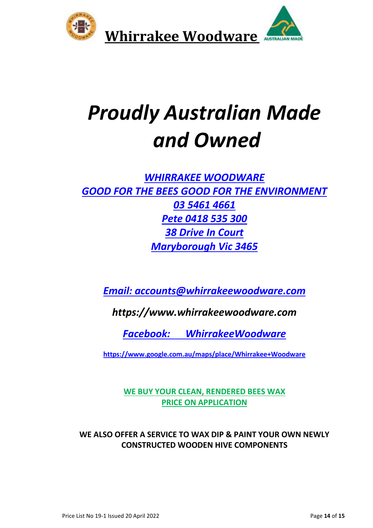

# *Proudly Australian Made and Owned*

### *WHIRRAKEE WOODWARE GOOD FOR THE BEES GOOD FOR THE ENVIRONMENT 03 5461 4661 Pete 0418 535 300 38 Drive In Court Maryborough Vic 3465*

*[Email: accounts@whirrakeewoodware.com](mailto:Email:%20accounts@whirrakeewoodware.com)*

*https://www.whirrakeewoodware.com*

*Facebook: [WhirrakeeWoodware](https://www.facebook.com/WhirrakeeWoodware)*

**[https://www.google.com.au/maps/place/Whirrakee+Woodware](https://www.google.com.au/maps/place/Whirrakee+Woodware/@-37.018797,143.7452943,17z/data=!3m1!4b1!4m5!3m4!1s0x6ad0ddf2a6bc3e39:0xc665b075f64f42ec!8m2!3d-37.018797!4d143.747483)**

**WE BUY YOUR CLEAN, RENDERED BEES WAX PRICE ON APPLICATION**

**WE ALSO OFFER A SERVICE TO WAX DIP & PAINT YOUR OWN NEWLY CONSTRUCTED WOODEN HIVE COMPONENTS**